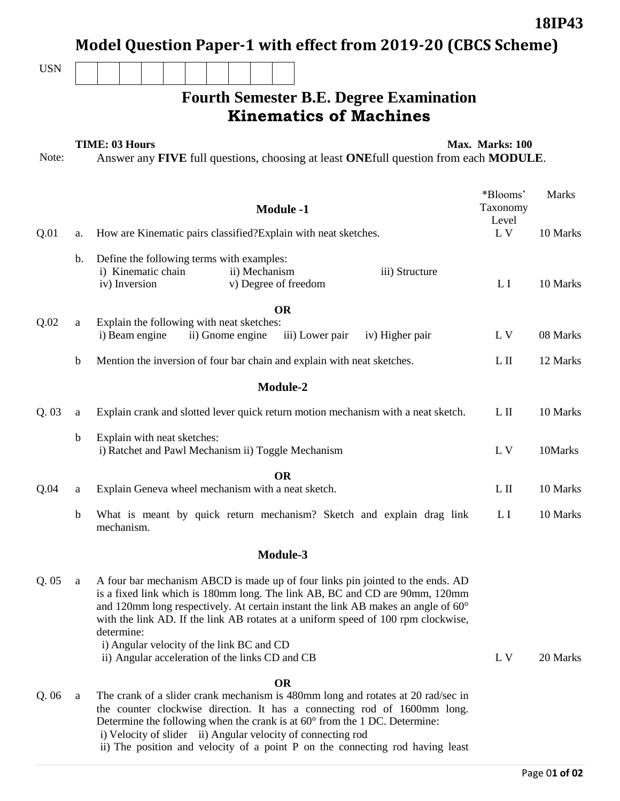|                               |             | 18IP43                                                                                                                                                                                                                                                                                                                                                                                                                                                |                      |              |  |  |  |
|-------------------------------|-------------|-------------------------------------------------------------------------------------------------------------------------------------------------------------------------------------------------------------------------------------------------------------------------------------------------------------------------------------------------------------------------------------------------------------------------------------------------------|----------------------|--------------|--|--|--|
|                               |             | Model Question Paper-1 with effect from 2019-20 (CBCS Scheme)                                                                                                                                                                                                                                                                                                                                                                                         |                      |              |  |  |  |
| <b>USN</b>                    |             |                                                                                                                                                                                                                                                                                                                                                                                                                                                       |                      |              |  |  |  |
|                               |             | <b>Fourth Semester B.E. Degree Examination</b>                                                                                                                                                                                                                                                                                                                                                                                                        |                      |              |  |  |  |
| <b>Kinematics of Machines</b> |             |                                                                                                                                                                                                                                                                                                                                                                                                                                                       |                      |              |  |  |  |
| Note:                         |             | <b>TIME: 03 Hours</b><br>Answer any FIVE full questions, choosing at least ONEfull question from each MODULE.                                                                                                                                                                                                                                                                                                                                         | Max. Marks: 100      |              |  |  |  |
|                               |             | <b>Module -1</b>                                                                                                                                                                                                                                                                                                                                                                                                                                      | *Blooms'<br>Taxonomy | <b>Marks</b> |  |  |  |
| Q.01                          | a.          | How are Kinematic pairs classified? Explain with neat sketches.                                                                                                                                                                                                                                                                                                                                                                                       | Level<br>L V         | 10 Marks     |  |  |  |
|                               | b.          | Define the following terms with examples:<br>i) Kinematic chain<br>ii) Mechanism<br>iii) Structure<br>iv) Inversion<br>v) Degree of freedom                                                                                                                                                                                                                                                                                                           | LI                   | 10 Marks     |  |  |  |
|                               |             | <b>OR</b>                                                                                                                                                                                                                                                                                                                                                                                                                                             |                      |              |  |  |  |
| Q.02                          | a           | Explain the following with neat sketches:<br>i) Beam engine<br>ii) Gnome engine<br>iii) Lower pair<br>iv) Higher pair                                                                                                                                                                                                                                                                                                                                 | L V                  | 08 Marks     |  |  |  |
|                               | b           | Mention the inversion of four bar chain and explain with neat sketches.                                                                                                                                                                                                                                                                                                                                                                               | L II                 | 12 Marks     |  |  |  |
| Module-2                      |             |                                                                                                                                                                                                                                                                                                                                                                                                                                                       |                      |              |  |  |  |
| Q.03                          | a           | Explain crank and slotted lever quick return motion mechanism with a neat sketch.                                                                                                                                                                                                                                                                                                                                                                     | $L$ II               | 10 Marks     |  |  |  |
|                               | b           | Explain with neat sketches:<br>i) Ratchet and Pawl Mechanism ii) Toggle Mechanism                                                                                                                                                                                                                                                                                                                                                                     | L V                  | 10Marks      |  |  |  |
| <b>OR</b>                     |             |                                                                                                                                                                                                                                                                                                                                                                                                                                                       |                      |              |  |  |  |
| Q.04                          | a           | Explain Geneva wheel mechanism with a neat sketch.                                                                                                                                                                                                                                                                                                                                                                                                    | $L \Pi$              | 10 Marks     |  |  |  |
|                               | $\mathbf b$ | What is meant by quick return mechanism? Sketch and explain drag link<br>mechanism.                                                                                                                                                                                                                                                                                                                                                                   | L I                  | 10 Marks     |  |  |  |
| Module-3                      |             |                                                                                                                                                                                                                                                                                                                                                                                                                                                       |                      |              |  |  |  |
| Q.05                          | a           | A four bar mechanism ABCD is made up of four links pin jointed to the ends. AD<br>is a fixed link which is 180mm long. The link AB, BC and CD are 90mm, 120mm<br>and 120mm long respectively. At certain instant the link AB makes an angle of 60°<br>with the link AD. If the link AB rotates at a uniform speed of 100 rpm clockwise,<br>determine:<br>i) Angular velocity of the link BC and CD<br>ii) Angular acceleration of the links CD and CB | L V                  | 20 Marks     |  |  |  |
| Q. 06                         | a           | <b>OR</b><br>The crank of a slider crank mechanism is 480mm long and rotates at 20 rad/sec in<br>the counter clockwise direction. It has a connecting rod of 1600mm long.<br>Determine the following when the crank is at $60^{\circ}$ from the 1 DC. Determine:<br>i) Velocity of slider ii) Angular velocity of connecting rod<br>ii) The position and velocity of a point P on the connecting rod having least                                     |                      |              |  |  |  |

Page 0**1 of 02**